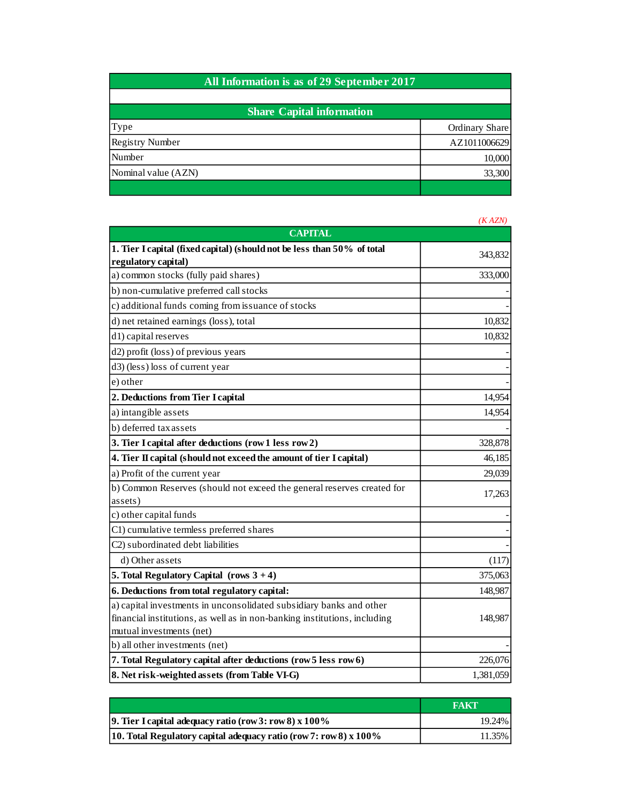| All Information is as of 29 September 2017 |                |
|--------------------------------------------|----------------|
|                                            |                |
| <b>Share Capital information</b>           |                |
| Type                                       | Ordinary Share |
| <b>Registry Number</b>                     | AZ1011006629   |
| Number                                     | 10,000         |
| Nominal value (AZN)                        | 33,300         |
|                                            |                |

|                                                                           | (KAZN)    |
|---------------------------------------------------------------------------|-----------|
| <b>CAPITAL</b>                                                            |           |
| 1. Tier I capital (fixed capital) (should not be less than 50% of total   |           |
| regulatory capital)                                                       | 343,832   |
| a) common stocks (fully paid shares)                                      | 333,000   |
| b) non-cumulative preferred call stocks                                   |           |
| c) additional funds coming from issuance of stocks                        |           |
| d) net retained earnings (loss), total                                    | 10,832    |
| d1) capital reserves                                                      | 10,832    |
| d2) profit (loss) of previous years                                       |           |
| d3) (less) loss of current year                                           |           |
| e) other                                                                  |           |
| 2. Deductions from Tier I capital                                         | 14,954    |
| a) intangible assets                                                      | 14,954    |
| b) deferred tax assets                                                    |           |
| 3. Tier I capital after deductions (row 1 less row 2)                     | 328,878   |
| 4. Tier II capital (should not exceed the amount of tier I capital)       | 46,185    |
| a) Profit of the current year                                             | 29,039    |
| b) Common Reserves (should not exceed the general reserves created for    | 17,263    |
| assets)                                                                   |           |
| c) other capital funds                                                    |           |
| C1) cumulative termless preferred shares                                  |           |
| C <sub>2</sub> ) subordinated debt liabilities                            |           |
| d) Other assets                                                           | (117)     |
| 5. Total Regulatory Capital (rows $3 + 4$ )                               | 375,063   |
| 6. Deductions from total regulatory capital:                              | 148,987   |
| a) capital investments in unconsolidated subsidiary banks and other       |           |
| financial institutions, as well as in non-banking institutions, including | 148,987   |
| mutual investments (net)                                                  |           |
| b) all other investments (net)                                            |           |
| 7. Total Regulatory capital after deductions (row 5 less row 6)           | 226,076   |
| 8. Net risk-weighted assets (from Table VI-G)                             | 1,381,059 |

|                                                                     | <b>FAKT</b> |
|---------------------------------------------------------------------|-------------|
| <b>9.</b> Tier I capital adequacy ratio (row 3: row 8) $x 100\%$    | 19.24%      |
| 10. Total Regulatory capital adequacy ratio (row 7: row 8) $x$ 100% | 11.35%      |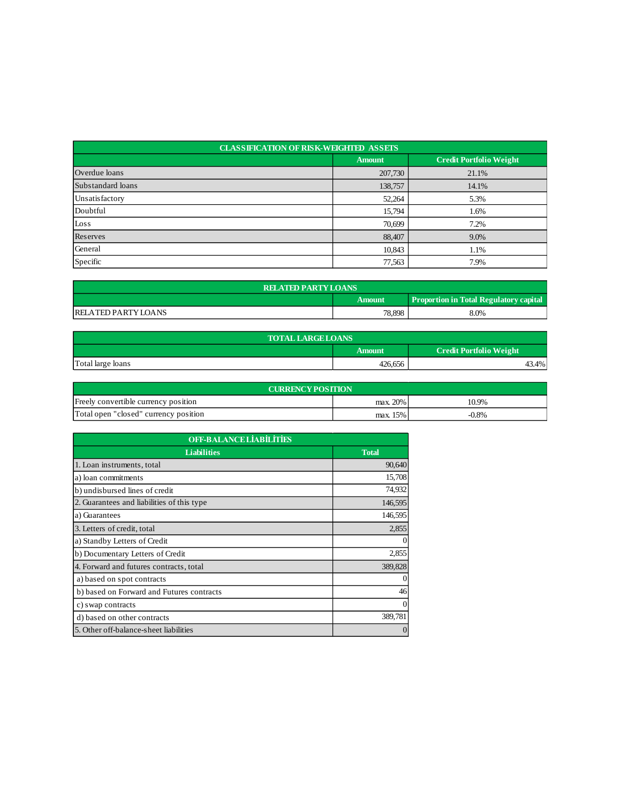| <b>CLASSIFICATION OF RISK-WEIGHTED ASSETS</b> |               |                                |  |  |
|-----------------------------------------------|---------------|--------------------------------|--|--|
|                                               | <b>Amount</b> | <b>Credit Portfolio Weight</b> |  |  |
| Overdue loans                                 | 207,730       | 21.1%                          |  |  |
| Substandard loans                             | 138,757       | 14.1%                          |  |  |
| Unsatisfactory                                | 52,264        | 5.3%                           |  |  |
| Doubtful                                      | 15,794        | 1.6%                           |  |  |
| Loss                                          | 70,699        | 7.2%                           |  |  |
| Reserves                                      | 88,407        | 9.0%                           |  |  |
| General                                       | 10,843        | 1.1%                           |  |  |
| Specific                                      | 77,563        | 7.9%                           |  |  |

| <b>RELATED PARTY LOANS</b>                              |        |      |  |  |
|---------------------------------------------------------|--------|------|--|--|
| <b>Proportion in Total Regulatory capital</b><br>Amount |        |      |  |  |
| <b>RELATED PARTY LOANS</b>                              | 78,898 | 8.0% |  |  |

| <b>TOTAL LARGE LOANS</b> |                                                 |       |  |  |
|--------------------------|-------------------------------------------------|-------|--|--|
|                          | <b>Credit Portfolio Weight</b><br><b>Amount</b> |       |  |  |
| Total large loans        | 426,656                                         | +3.4% |  |  |

| <b>CURRENCY POSITION</b>              |          |          |  |  |
|---------------------------------------|----------|----------|--|--|
| Freely convertible currency position  | max. 20% | 10.9%    |  |  |
| Total open "closed" currency position | max. 15% | $-0.8\%$ |  |  |

| <b>OFF-BALANCE LIABILITIES</b>             |              |  |
|--------------------------------------------|--------------|--|
| <b>Liabilities</b>                         | <b>Total</b> |  |
| 1. Loan instruments, total                 | 90,640       |  |
| a) loan commitments                        | 15,708       |  |
| b) undisbursed lines of credit             | 74,932       |  |
| 2. Guarantees and liabilities of this type | 146,595      |  |
| a) Guarantees                              | 146,595      |  |
| 3. Letters of credit, total                | 2,855        |  |
| a) Standby Letters of Credit               | 0            |  |
| b) Documentary Letters of Credit           | 2,855        |  |
| 4. Forward and futures contracts, total    | 389,828      |  |
| a) based on spot contracts                 | $\Omega$     |  |
| b) based on Forward and Futures contracts  | 46           |  |
| c) swap contracts                          | $\Omega$     |  |
| d) based on other contracts                | 389,781      |  |
| 5. Other off-balance-sheet liabilities     | $\theta$     |  |